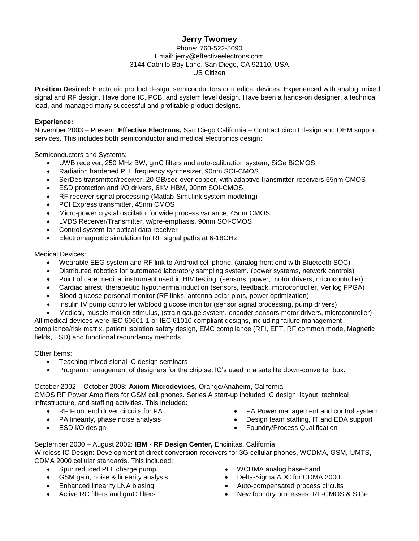## **Jerry Twomey**

#### Phone: 760-522-5090 Email: [jerry@effectiveelectrons.com](mailto:jerry@effectiveelectrons.com) 3144 Cabrillo Bay Lane, San Diego, CA 92110, USA US Citizen

**Position Desired:** Electronic product design, semiconductors or medical devices. Experienced with analog, mixed signal and RF design. Have done IC, PCB, and system level design. Have been a hands-on designer, a technical lead, and managed many successful and profitable product designs.

#### **Experience:**

November 2003 – Present: **Effective Electrons,** San Diego California – Contract circuit design and OEM support services. This includes both semiconductor and medical electronics design:

Semiconductors and Systems:

- UWB receiver, 250 MHz BW, gmC filters and auto-calibration system, SiGe BiCMOS
- Radiation hardened PLL frequency synthesizer, 90nm SOI-CMOS
- SerDes transmitter/receiver, 20 GB/sec over copper, with adaptive transmitter-receivers 65nm CMOS
- ESD protection and I/O drivers, 6KV HBM, 90nm SOI-CMOS
- RF receiver signal processing (Matlab-Simulink system modeling)
- PCI Express transmitter, 45nm CMOS
- Micro-power crystal oscillator for wide process variance, 45nm CMOS
- LVDS Receiver/Transmitter, w/pre-emphasis, 90nm SOI-CMOS
- Control system for optical data receiver
- Electromagnetic simulation for RF signal paths at 6-18GHz

Medical Devices:

- Wearable EEG system and RF link to Android cell phone. (analog front end with Bluetooth SOC)
- Distributed robotics for automated laboratory sampling system. (power systems, network controls)
- Point of care medical instrument used in HIV testing. (sensors, power, motor drivers, microcontroller)
- Cardiac arrest, therapeutic hypothermia induction (sensors, feedback, microcontroller, Verilog FPGA)
- Blood glucose personal monitor (RF links, antenna polar plots, power optimization)
- Insulin IV pump controller w/blood glucose monitor (sensor signal processing, pump drivers)
- Medical, muscle motion stimulus, (strain gauge system, encoder sensors motor drivers, microcontroller)

All medical devices were IEC 60601-1 or IEC 61010 compliant designs, including failure management compliance/risk matrix, patient isolation safety design, EMC compliance (RFI, EFT, RF common mode, Magnetic fields, ESD) and functional redundancy methods.

Other Items:

- Teaching mixed signal IC design seminars
- Program management of designers for the chip set IC's used in a satellite down-converter box.

## October 2002 – October 2003: **Axiom Microdevices**, Orange/Anaheim, California

CMOS RF Power Amplifiers for GSM cell phones. Series A start-up included IC design, layout, technical infrastructure, and staffing activities. This included:

- RF Front end driver circuits for PA
- PA linearity, phase noise analysis
- ESD I/O design
- PA Power management and control system
- Design team staffing, IT and EDA support
- Foundry/Process Qualification

September 2000 – August 2002: **IBM - RF Design Center,** Encinitas, California Wireless IC Design: Development of direct conversion receivers for 3G cellular phones, WCDMA, GSM, UMTS, CDMA 2000 cellular standards. This included:

- Spur reduced PLL charge pump
- GSM gain, noise & linearity analysis
- Enhanced linearity LNA biasing
- Active RC filters and gmC filters
- WCDMA analog base-band
- Delta-Sigma ADC for CDMA 2000
- Auto-compensated process circuits
- New foundry processes: RF-CMOS & SiGe